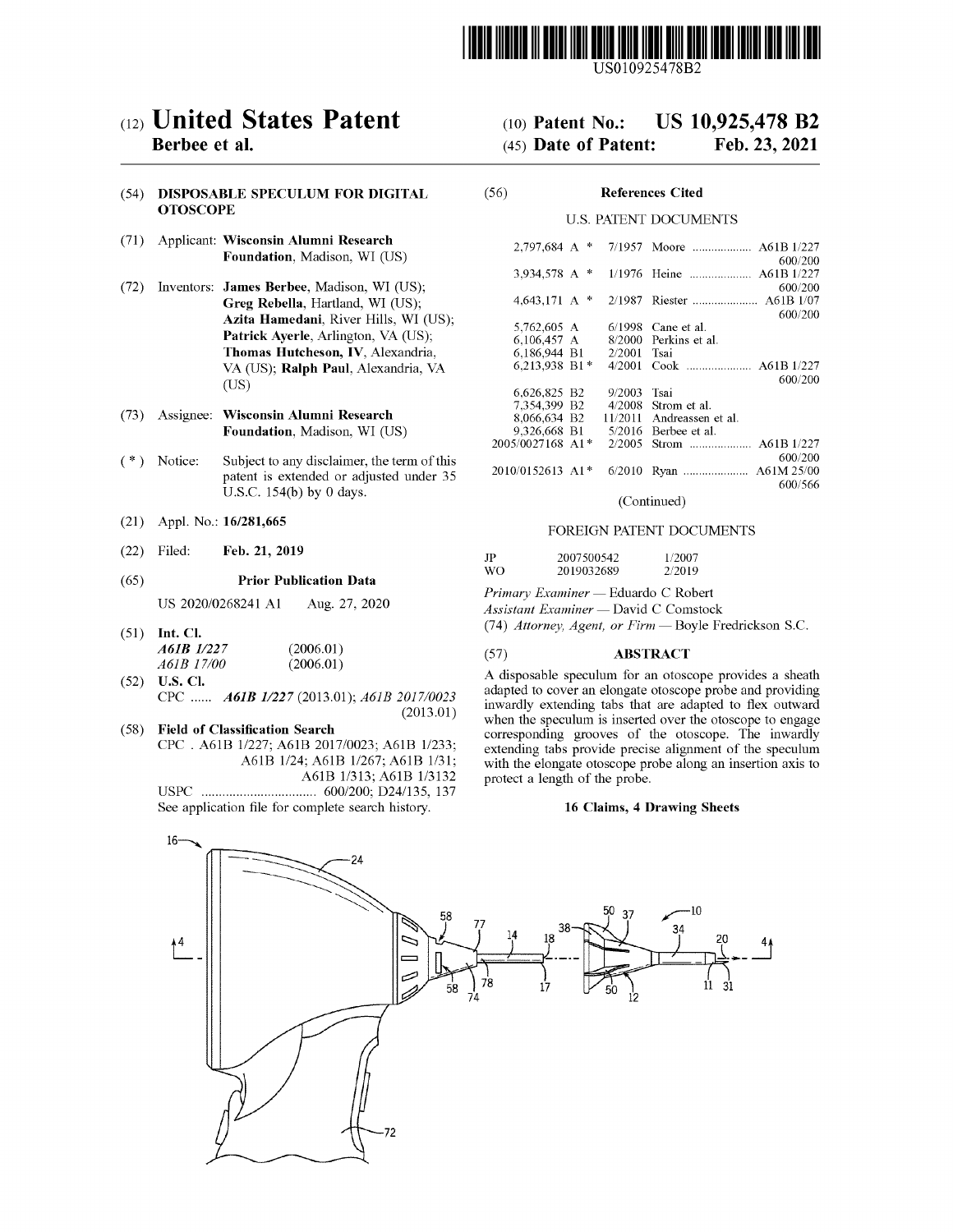

USO 109254 78B2

# c12) **United States Patent**

## **Berbee et al.**

## (54) **DISPOSABLE SPECULUM FOR DIGITAL OTOSCOPE**

- (71) Applicant: **Wisconsin Alumni Research Foundation,** Madison, WI (US)
- (72) Inventors: **James Berbee,** Madison, WI (US); **Greg Rebella,** Hartland, WI (US); **Azita Hamedani,** River Hills, WI (US); **Patrick Ayerle,** Arlington, VA (US); **Thomas Hutcheson, IV,** Alexandria, VA (US); **Ralph Paul,** Alexandria, VA (US)
- (73) Assignee: **Wisconsin Alumni Research Foundation,** Madison, WI (US)
- $(*)$  Notice: Subject to any disclaimer, the term of this patent is extended or adjusted under 35 U.S.C. 154(b) by O days.
- (21) Appl. No.: **16/281,665**
- (22) Filed: **Feb. 21, 2019**

#### (65) **Prior Publication Data**

US 2020/0268241 Al Aug. 27, 2020

(51) **Int. Cl.**  *A61B 11227* 

| A61B 1/227        | (2006.01) |
|-------------------|-----------|
| <i>A61B 17/00</i> | (2006.01) |
| TLC OL            |           |

- (52) **U.S. Cl.**  CPC ...... *A61B 11227* (2013.01); *A61B 2017/0023*  (2013.01)
- ( 58) **Field of Classification Search**  CPC . A61B 1/227; A61B 2017/0023; A61B 1/233; A61B 1/24; A61B 1/267; A61B 1/31; A61B 1/313; A61B 1/3132 USPC ................................. 600/200; D24/135, 137

## (IO) **Patent No.: US 10,925,478 B2**

#### (45) **Date of Patent: Feb.23,2021**

## (56) **References Cited**

### U.S. PATENT DOCUMENTS

| 2.797.684 A      |   | 7/1957  |                    |
|------------------|---|---------|--------------------|
|                  |   |         | 600/200            |
| 3.934.578 A      | ∗ | 1/1976  |                    |
|                  |   |         | 600/200            |
| 4,643,171 A      |   | 2/1987  |                    |
|                  |   |         | 600/200            |
| 5,762,605 A      |   | 6/1998  | Cane et al.        |
| 6.106.457 A      |   | 8/2000  | Perkins et al.     |
| 6.186,944 B1     |   | 2/2001  | Tsai               |
| 6.213.938 B1*    |   | 4/2001  |                    |
|                  |   |         | 600/200            |
| 6,626,825 B2     |   | 9/2003  | Tsai               |
| 7.354.399 B2     |   | 4/2008  | Strom et al.       |
| 8,066,634 B2     |   | 11/2011 | Andreassen et al.  |
| 9.326.668 B1     |   | 5/2016  | Berbee et al.      |
| 2005/0027168 A1* |   | 2/2005  |                    |
|                  |   |         | 600/200            |
| 2010/0152613 A1* |   | 6/2010  | A61M 25/00<br>Ryan |
|                  |   |         | 600/566            |
|                  |   |         |                    |

(Continued)

## FOREIGN PATENT DOCUMENTS

| JP  | 2007500542 | 1/2007 |
|-----|------------|--------|
| WO. | 2019032689 | 2/2019 |

*Primary Examiner* - Eduardo C Robert

*Assistant Examiner* - David C Comstock

(74) *Attorney, Agent, or Firm* - Boyle Fredrickson S.C.

## (57) **ABSTRACT**

A disposable speculum for an otoscope provides a sheath adapted to cover an elongate otoscope probe and providing inwardly extending tabs that are adapted to flex outward when the speculum is inserted over the otoscope to engage corresponding grooves of the otoscope. The inwardly extending tabs provide precise alignment of the speculum with the elongate otoscope probe along an insertion axis to protect a length of the probe.

## **16 Claims, 4 Drawing Sheets**

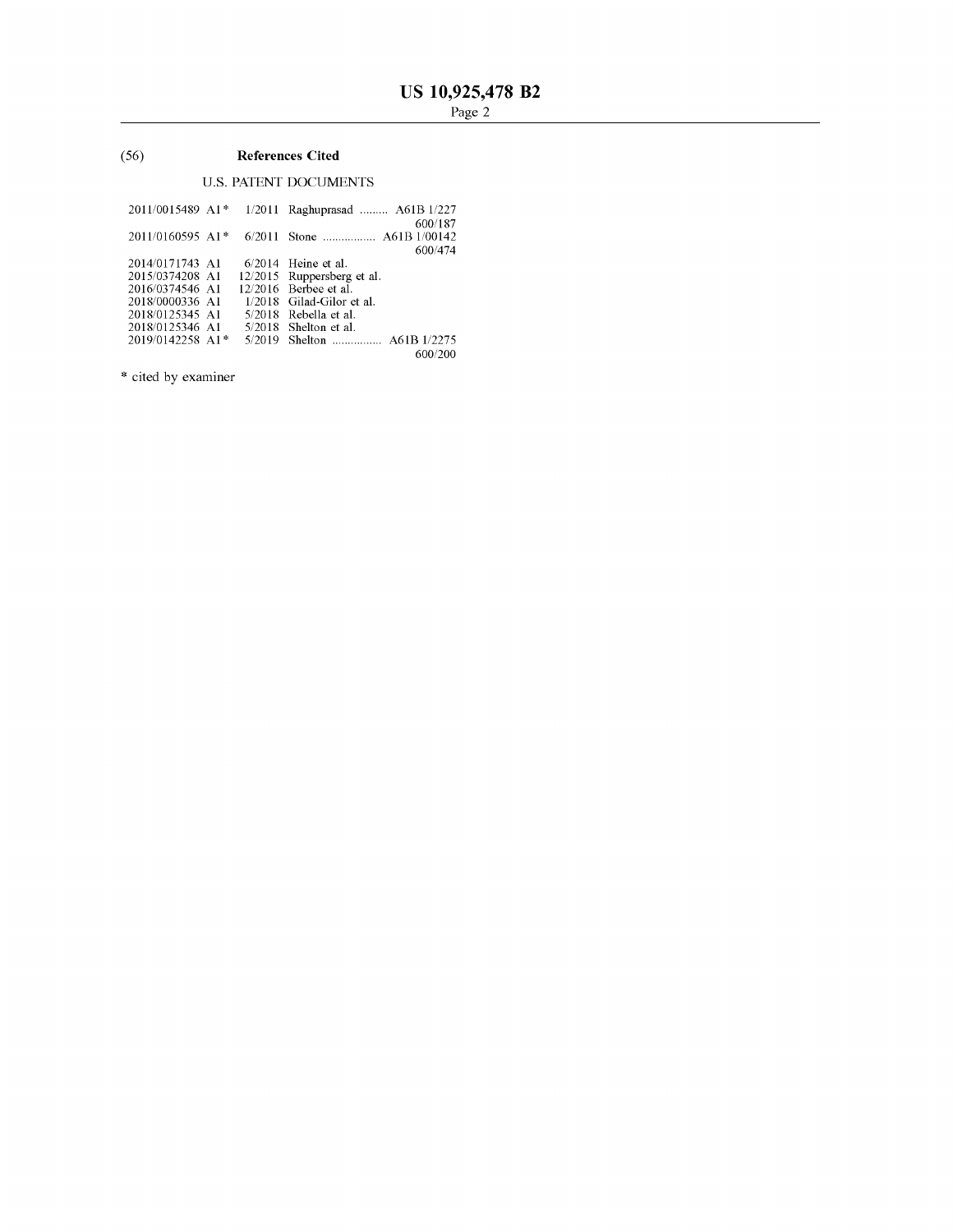## (56) **References Cited**

## U.S. PATENT DOCUMENTS

| $2011/0015489$ A1 <sup>*</sup>  |        | 1/2011 Raghuprasad  A61B 1/227 |
|---------------------------------|--------|--------------------------------|
|                                 |        | 600/187                        |
| $2011/0160595$ A <sub>1</sub> * | 6/2011 |                                |
|                                 |        | 600/474                        |
| 2014/0171743 A1                 |        | $6/2014$ Heine et al.          |
| 2015/0374208 A1                 |        | 12/2015 Ruppersberg et al.     |
| 2016/0374546 A1                 |        | $12/2016$ Berbee et al.        |
| 2018/0000336 A1                 |        | 1/2018 Gilad-Gilor et al.      |
| 2018/0125345 A1                 |        | $5/2018$ Rebella et al.        |
| 2018/0125346 A1                 |        | $5/2018$ Shelton et al.        |
| $2019/0142258$ A <sub>1</sub> * |        | 5/2019 Shelton  A61B 1/2275    |
|                                 |        | 600/200                        |

\* cited by examiner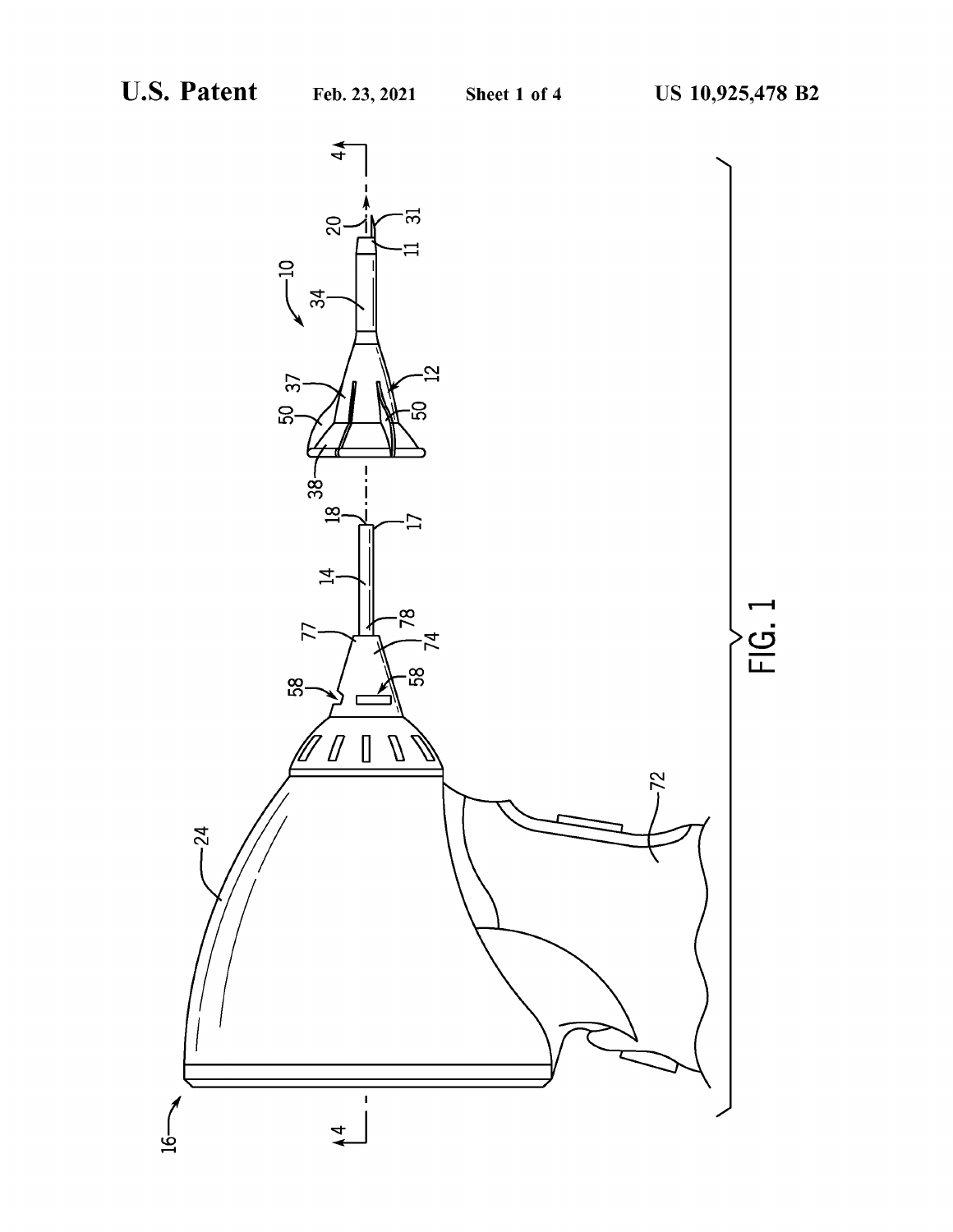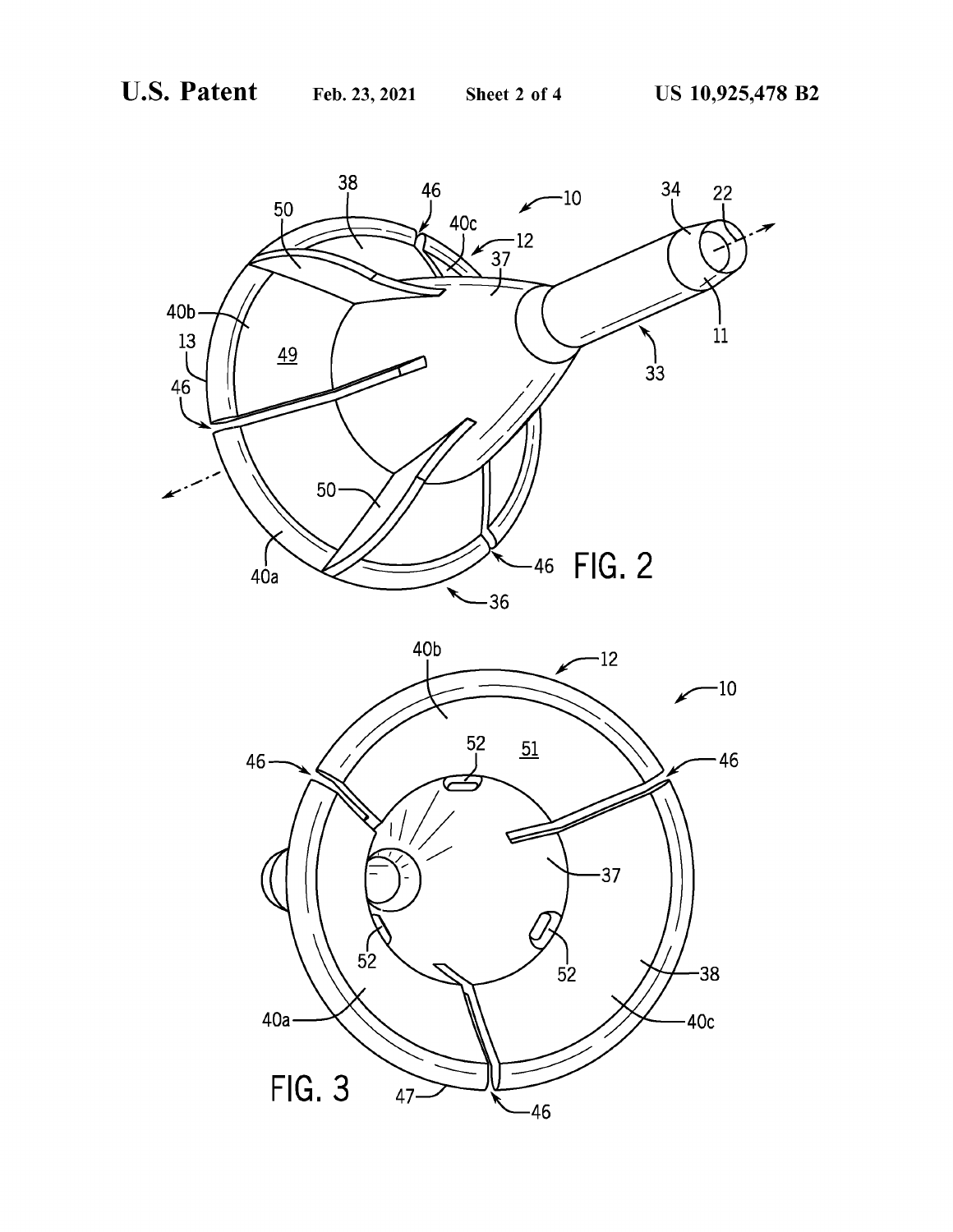

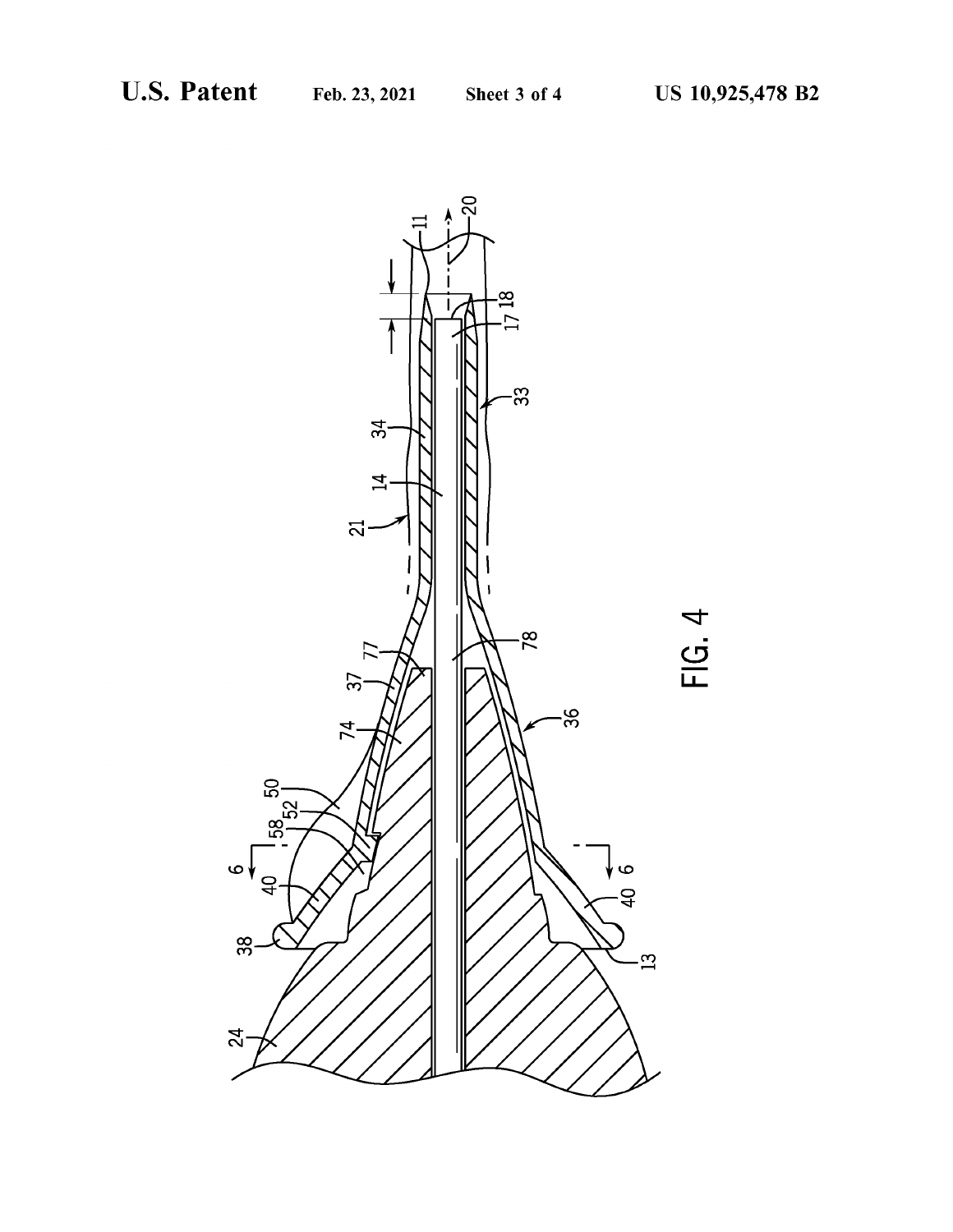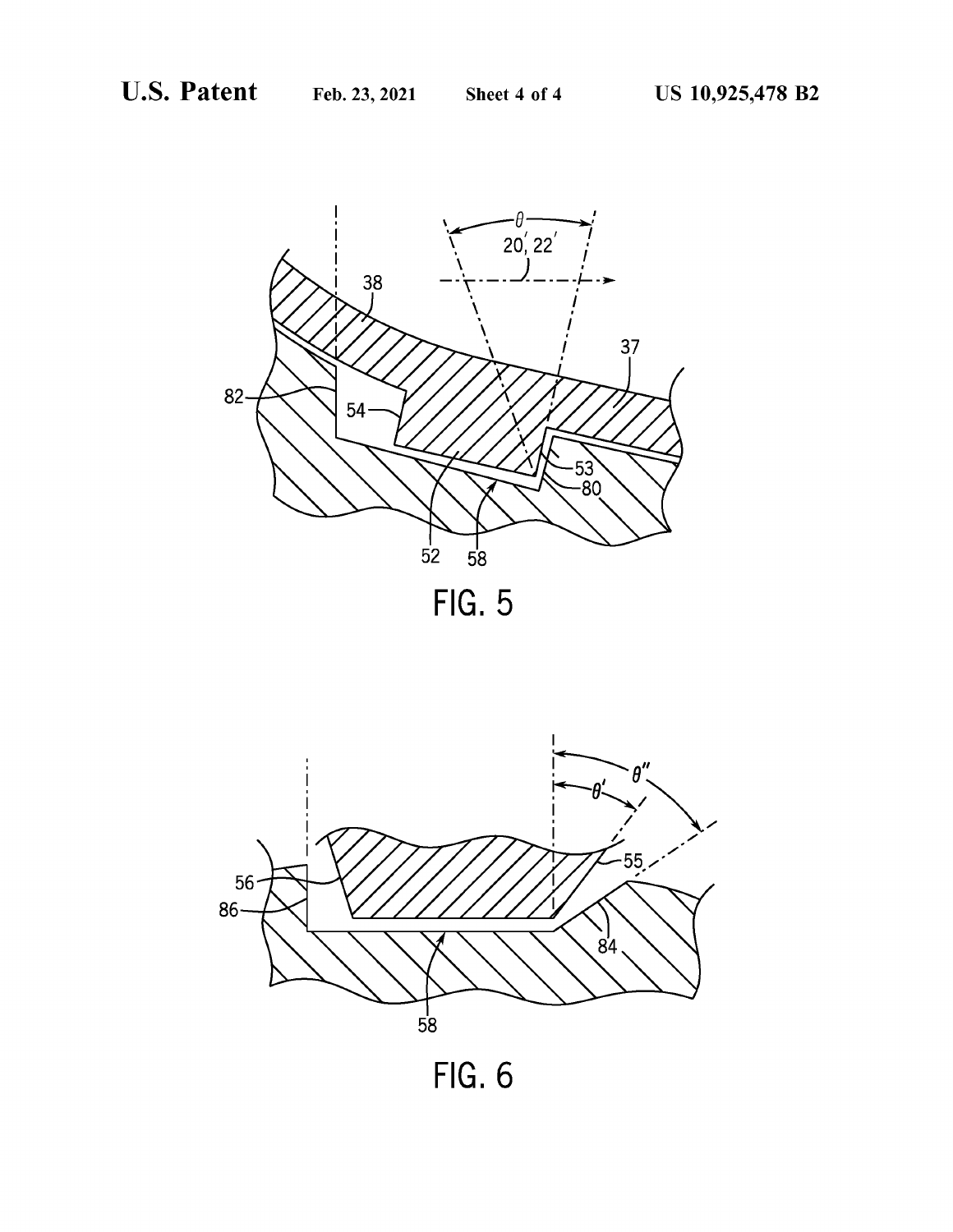





**FIG. 6**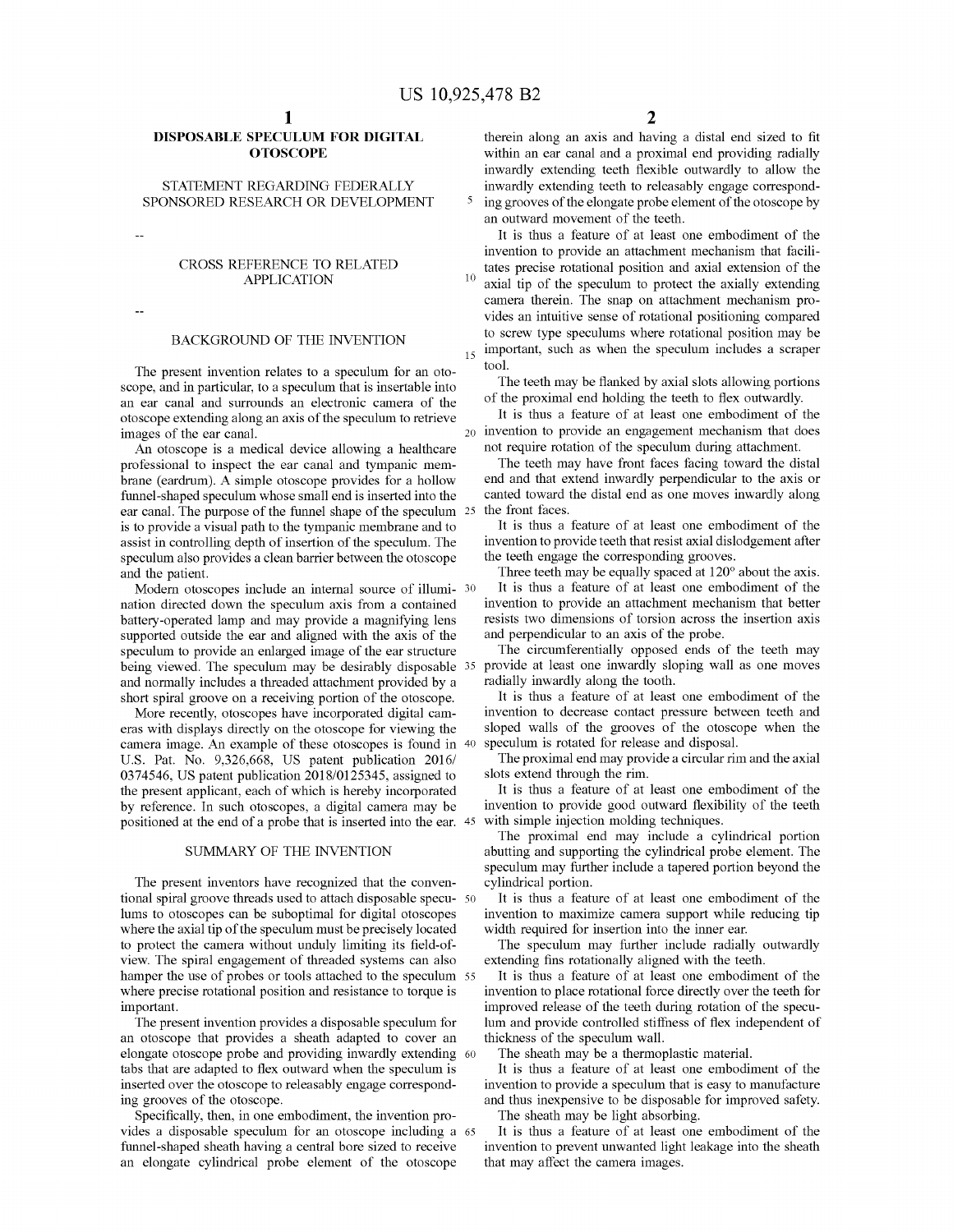## **DISPOSABLE SPECULUM FOR DIGITAL OTOSCOPE**

## CROSS REFERENCE TO RELATED APPLICATION

## BACKGROUND OF THE INVENTION

The present invention relates to a speculum for an otoscope, and in particular, to a speculum that is insertable into an ear canal and surrounds an electronic camera of the <sup>of the</sup> proximal end holding the teeth to flex outwardly.<br>
otoscope extending along an axis of the speculum to retrieve It is thus a feature of at least one embodimen otoscope extending along an axis of the speculum to retrieve images of the ear canal.  $\frac{1}{20}$  invention to provide an engagement mechanism that does

An otoscope is a medical device allowing a healthcare not require rotation of the speculum during attachment. professional to inspect the ear canal and tympanic membrane (eardrum). A simple otoscope provides for a hollow funnel-shaped speculum whose small end is inserted into the ear canal. The purpose of the funnel shape of the speculum  $25$ is to provide a visual path to the tympanic membrane and to assist in controlling depth of insertion of the speculum. The speculum also provides a clean barrier between the otoscope and the patient.

Modem otoscopes include an internal source of illumi- <sup>30</sup> nation directed down the speculum axis from a contained battery-operated lamp and may provide a magnifying lens supported outside the ear and aligned with the axis of the speculum to provide an enlarged image of the ear structure being viewed. The speculum may be desirably disposable 35 and normally includes a threaded attachment provided by a short spiral groove on a receiving portion of the otoscope.

More recently, otoscopes have incorporated digital cameras with displays directly on the otoscope for viewing the camera image. An example of these otoscopes is found in 40 U.S. Pat. No. 9,326,668, US patent publication 2016/ 0374546, US patent publication 2018/0125345, assigned to the present applicant, each of which is hereby incorporated by reference. In such otoscopes, a digital camera may be positioned at the end of a probe that is inserted into the ear. 45

## SUMMARY OF THE INVENTION

The present inventors have recognized that the conventional spiral groove threads used to attach disposable specu- *so*  lums to otoscopes can be suboptimal for digital otoscopes where the axial tip of the speculum must be precisely located to protect the camera without unduly limiting its field-ofview. The spiral engagement of threaded systems can also hamper the use of probes or tools attached to the speculum 55 where precise rotational position and resistance to torque is important.

The present invention provides a disposable speculum for an otoscope that provides a sheath adapted to cover an elongate otoscope probe and providing inwardly extending 60 tabs that are adapted to flex outward when the speculum is inserted over the otoscope to releasably engage corresponding grooves of the otoscope.

Specifically, then, in one embodiment, the invention provides a disposable speculum for an otoscope including a 65 funnel-shaped sheath having a central bore sized to receive an elongate cylindrical probe element of the otoscope

therein along an axis and having a distal end sized to fit within an ear canal and a proximal end providing radially inwardly extending teeth flexible outwardly to allow the STATEMENT REGARDING FEDERALLY inwardly extending teeth to releasably engage correspond-<br>Someth the office of the stock of the stock of the elongate probe element of the otoscope by SPONSORED RESEARCH OR DEVELOPMENT *s* ing grooves of the elongate probe element of the otoscope by an outward movement of the teeth.

> It is thus a feature of at least one embodiment of the invention to provide an attachment mechanism that facilitates precise rotational position and axial extension of the  $10$  axial tip of the speculum to protect the axially extending camera therein. The snap on attachment mechanism provides an intuitive sense of rotational positioning compared to screw type speculums where rotational position may be important, such as when the speculum includes a scraper tool.

The teeth may be flanked by axial slots allowing portions of the proximal end holding the teeth to flex outwardly.

The teeth may have front faces facing toward the distal end and that extend inwardly perpendicular to the axis or canted toward the distal end as one moves inwardly along the front faces.

It is thus a feature of at least one embodiment of the invention to provide teeth that resist axial dislodgement after the teeth engage the corresponding grooves.

Three teeth may be equally spaced at 120° about the axis. It is thus a feature of at least one embodiment of the invention to provide an attachment mechanism that better resists two dimensions of torsion across the insertion axis and perpendicular to an axis of the probe.

The circumferentially opposed ends of the teeth may provide at least one inwardly sloping wall as one moves radially inwardly along the tooth.

It is thus a feature of at least one embodiment of the invention to decrease contact pressure between teeth and sloped walls of the grooves of the otoscope when the speculum is rotated for release and disposal.

The proximal end may provide a circular rim and the axial slots extend through the rim.

It is thus a feature of at least one embodiment of the invention to provide good outward flexibility of the teeth with simple injection molding techniques.

The proximal end may include a cylindrical portion abutting and supporting the cylindrical probe element. The speculum may further include a tapered portion beyond the cylindrical portion.

It is thus a feature of at least one embodiment of the invention to maximize camera support while reducing tip width required for insertion into the inner ear.

The speculum may further include radially outwardly extending fins rotationally aligned with the teeth.

It is thus a feature of at least one embodiment of the invention to place rotational force directly over the teeth for improved release of the teeth during rotation of the speculum and provide controlled stiffness of flex independent of thickness of the speculum wall.

The sheath may be a thermoplastic material.

It is thus a feature of at least one embodiment of the invention to provide a speculum that is easy to manufacture and thus inexpensive to be disposable for improved safety.

The sheath may be light absorbing.

It is thus a feature of at least one embodiment of the invention to prevent unwanted light leakage into the sheath that may affect the camera images.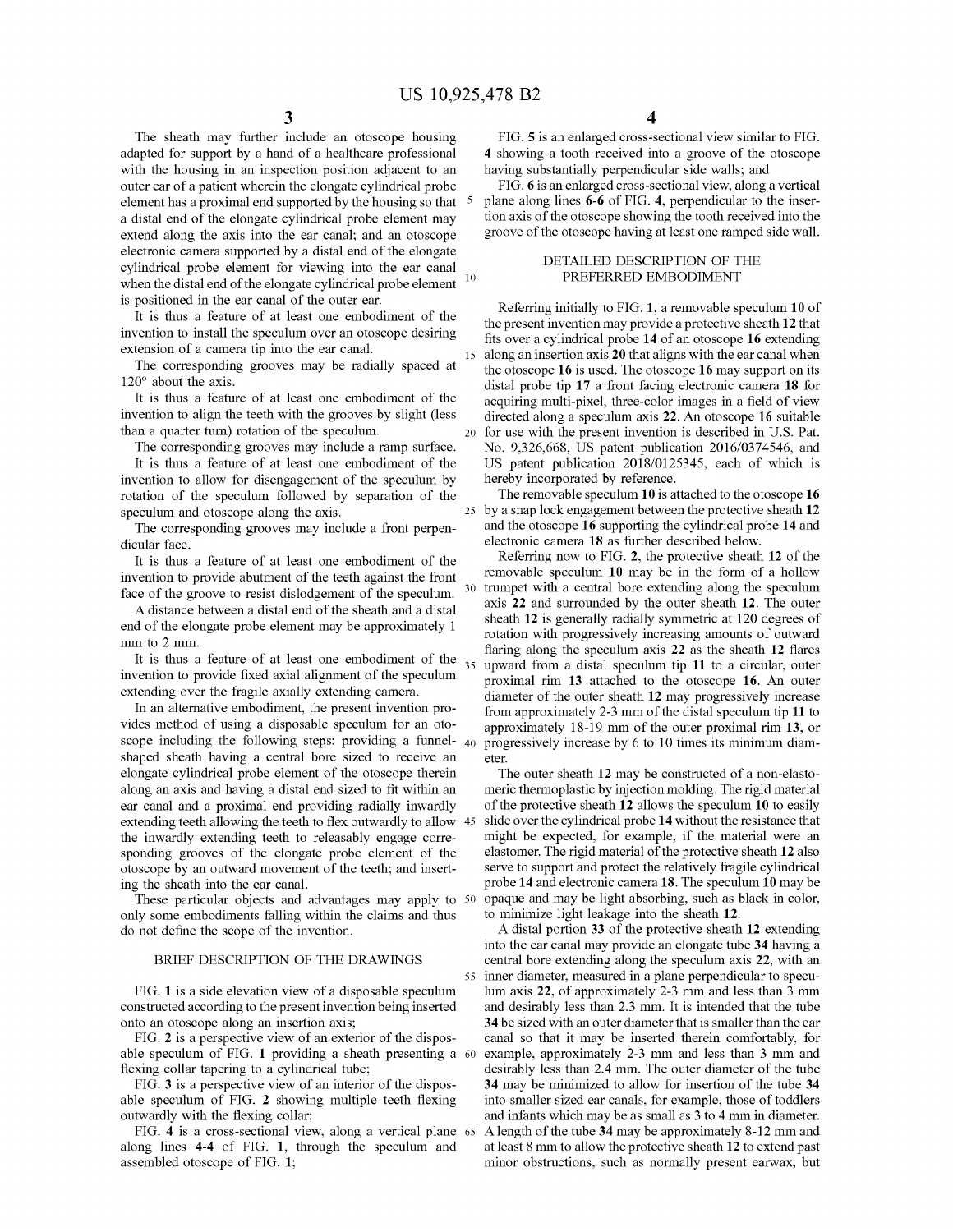The sheath may further include an otoscope housing adapted for support by a hand of a healthcare professional with the housing in an inspection position adjacent to an outer ear of a patient wherein the elongate cylindrical probe element has a proximal end supported by the housing so that a distal end of the elongate cylindrical probe element may ition axis of the otoscope showing the tooth received into the extend along the axis into the ear canal: and an otoscope groove of the otoscope having at least one extend along the axis into the ear canal; and an otoscope electronic camera supported by a distal end of the elongate cylindrical probe element for viewing into the ear canal when the distal end of the elongate cylindrical probe element  $10$ is positioned in the ear canal of the outer ear.

It is thus a feature of at least one embodiment of the invention to install the speculum over an otoscope desiring extension of a camera tip into the ear canal.

The corresponding grooves may be radially spaced at 120° about the axis.

It is thus a feature of at least one embodiment of the invention to align the teeth with the grooves by slight (less than a quarter tum) rotation of the speculum.

The corresponding grooves may include a ramp surface. It is thus a feature of at least one embodiment of the invention to allow for disengagement of the speculum by rotation of the speculum followed by separation of the speculum and otoscope along the axis.

The corresponding grooves may include a front perpendicular face.

It is thus a feature of at least one embodiment of the invention to provide abutment of the teeth against the front face of the groove to resist dislodgement of the speculum.

A distance between a distal end of the sheath and a distal end of the elongate probe element may be approximately 1 mm to 2 mm.

It is thus a feature of at least one embodiment of the  $35$ invention to provide fixed axial alignment of the speculum extending over the fragile axially extending camera.

In an alternative embodiment, the present invention provides method of using a disposable speculum for an otoscope including the following steps: providing a funnel-  $_{40}$ shaped sheath having a central bore sized to receive an elongate cylindrical probe element of the otoscope therein along an axis and having a distal end sized to fit within an ear canal and a proximal end providing radially inwardly extending teeth allowing the teeth to flex outwardly to allow 45 the inwardly extending teeth to releasably engage corresponding grooves of the elongate probe element of the otoscope by an outward movement of the teeth; and inserting the sheath into the ear canal.

These particular objects and advantages may apply to 50 only some embodiments falling within the claims and thus do not define the scope of the invention.

## BRIEF DESCRIPTION OF THE DRAWINGS

FIG. **1** is a side elevation view of a disposable speculum constructed according to the present invention being inserted onto an otoscope along an insertion axis;

FIG. **2** is a perspective view of an exterior of the disposable speculum of FIG. **1** providing a sheath presenting a 60 flexing collar tapering to a cylindrical tube;

FIG. **3** is a perspective view of an interior of the disposable speculum of FIG. **2** showing multiple teeth flexing outwardly with the flexing collar;

FIG. **4** is a cross-sectional view, along a vertical plane 65 along lines **4-4** of FIG. **1,** through the speculum and assembled otoscope of FIG. **1;** 

FIG. **5** is an enlarged cross-sectional view similar to FIG. **4** showing a tooth received into a groove of the otoscope having substantially perpendicular side walls; and

FIG. **6** is an enlarged cross-sectional view, along a vertical 5 plane along lines **6-6** of FIG. **4,** perpendicular to the insertion axis of the otoscope showing the tooth received into the

## DETAILED DESCRIPTION OF THE PREFERRED EMBODIMENT

Referring initially to FIG. **1,** a removable speculum **10** of the present invention may provide a protective sheath **12** that fits over a cylindrical probe **14** of an otoscope **16** extending along an insertion axis 20 that aligns with the ear canal when the otoscope **16** is used. The otoscope **16** may support on its distal probe tip **17** a front facing electronic camera **18** for acquiring multi-pixel, three-color images in a field of view directed along a speculum axis **22.** An otoscope **16** suitable 20 for use with the present invention is described in U.S. Pat. No. 9,326,668, US patent publication 2016/0374546, and US patent publication 2018/0125345, each of which is hereby incorporated by reference.

The removable speculum **10** is attached to the otoscope **16**  25 by a snap lock engagement between the protective sheath **12**  and the otoscope **16** supporting the cylindrical probe **14** and electronic camera **18** as further described below.

Referring now to FIG. **2,** the protective sheath **12** of the removable speculum **10** may be in the form of a hollow trumpet with a central bore extending along the speculum axis **22** and surrounded by the outer sheath **12.** The outer sheath **12** is generally radially symmetric at 120 degrees of rotation with progressively increasing amounts of outward flaring along the speculum axis **22** as the sheath **12** flares upward from a distal speculum tip **11** to a circular, outer proximal rim **13** attached to the otoscope **16.** An outer diameter of the outer sheath **12** may progressively increase from approximately 2-3 mm of the distal speculum tip **11** to approximately 18-19 mm of the outer proximal rim **13,** or progressively increase by 6 to 10 times its minimum diameter.

The outer sheath **12** may be constructed of a non-elastomeric thermoplastic by injection molding. The rigid material of the protective sheath **12** allows the speculum **10** to easily slide over the cylindrical probe **14** without the resistance that might be expected, for example, if the material were an elastomer. The rigid material of the protective sheath **12** also serve to support and protect the relatively fragile cylindrical probe **14** and electronic camera **18.** The speculum **10** may be opaque and may be light absorbing, such as black in color, to minimize light leakage into the sheath **12.** 

A distal portion **33** of the protective sheath **12** extending into the ear canal may provide an elongate tube **34** having a central bore extending along the speculum axis **22,** with an 55 inner diameter, measured in a plane perpendicular to speculum axis **22,** of approximately 2-3 mm and less than 3 mm and desirably less than 2.3 mm. It is intended that the tube **34** be sized with an outer diameter that is smaller than the ear canal so that it may be inserted therein comfortably, for example, approximately 2-3 mm and less than 3 mm and desirably less than 2.4 mm. The outer diameter of the tube **34** may be minimized to allow for insertion of the tube **34**  into smaller sized ear canals, for example, those of toddlers and infants which may be as small as 3 to 4 mm in diameter. A length of the tube **34** may be approximately 8-12 mm and at least 8 mm to allow the protective sheath **12** to extend past minor obstructions, such as normally present earwax, but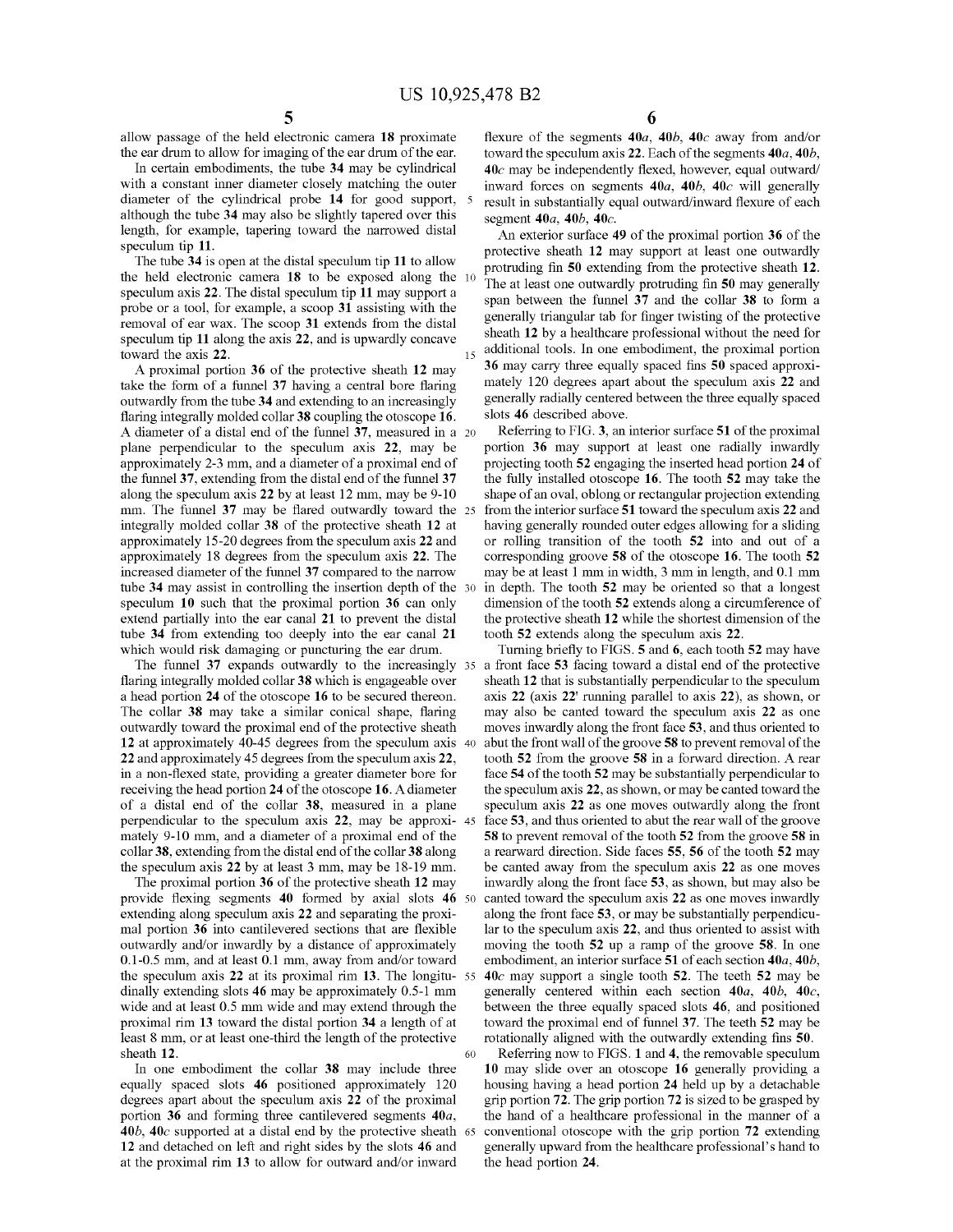allow passage of the held electronic camera **18** proximate the ear drum to allow for imaging of the ear drum of the ear.

In certain embodiments, the tube **34** may be cylindrical with a constant inner diameter closely matching the outer diameter of the cylindrical probe **14** for good support, 5 although the tube **34** may also be slightly tapered over this length, for example, tapering toward the narrowed distal speculum tip **11.** 

The tube **34** is open at the distal speculum tip **11** to allow the held electronic camera **18** to be exposed along the 10 speculum axis **22.** The distal speculum tip **11** may support a probe or a tool, for example, a scoop **31** assisting with the removal of ear wax. The scoop **31** extends from the distal speculum tip **11** along the axis **22,** and is upwardly concave toward the axis  $\frac{1}{22}$ , that is a proximally concave  $\frac{1}{15}$  additional tools. In one embodiment, the proximal portion

A proximal portion **36** of the protective sheath **12** may take the form of a funnel **37** having a central bore flaring outwardly from the tube **34** and extending to an increasingly flaring integrally molded collar **38** coupling the otoscope **16.**  A diameter of a distal end of the funnel **37,** measured in a 20 plane perpendicular to the speculum axis **22,** may be approximately 2-3 mm, and a diameter of a proximal end of the funnel **37,** extending from the distal end of the funnel **37**  along the speculum axis **22** by at least 12 mm, may be 9-10 mm. The funnel **37** may be flared outwardly toward the 25 integrally molded collar **38** of the protective sheath **12** at approximately 15-20 degrees from the speculum axis **22** and approximately 18 degrees from the speculum axis **22.** The increased diameter of the funnel **37** compared to the narrow tube **34** may assist in controlling the insertion depth of the 30 speculum **10** such that the proximal portion **36** can only extend partially into the ear canal **21** to prevent the distal tube **34** from extending too deeply into the ear canal **21**  which would risk damaging or puncturing the ear drum.

The funnel **37** expands outwardly to the increasingly 35 flaring integrally molded collar **38** which is engageable over a head portion **24** of the otoscope **16** to be secured thereon. The collar **38** may take a similar conical shape, flaring outwardly toward the proximal end of the protective sheath **12** at approximately 40-45 degrees from the speculum axis 40 **22** and approximately 45 degrees from the speculum axis **22,**  in a non-flexed state, providing a greater diameter bore for receiving the head portion **24** of the otoscope **16.** A diameter of a distal end of the collar **38,** measured in a plane perpendicular to the speculum axis **22,** may be approxi- 45 mately 9-10 mm, and a diameter of a proximal end of the collar **38,** extending from the distal end of the collar **38** along the speculum axis **22** by at least 3 mm, may be 18-19 mm.

The proximal portion **36** of the protective sheath **12** may provide flexing segments **40** formed by axial slots **46** 50 extending along speculum axis **22** and separating the proximal portion **36** into cantilevered sections that are flexible outwardly and/or inwardly by a distance of approximately 0.1-0.5 mm, and at least 0.1 mm, away from and/or toward the speculum axis **22** at its proximal rim **13.** The longitu- 55 dinally extending slots **46** may be approximately 0.5-1 mm wide and at least 0.5 mm wide and may extend through the proximal rim **13** toward the distal portion **34** a length of at least 8 mm, or at least one-third the length of the protective sheath **12.**  $\qquad \qquad 60$ 

In one embodiment the collar **38** may include three equally spaced slots **46** positioned approximately 120 degrees apart about the speculum axis **22** of the proximal portion **36** and forming three cantilevered segments *40a,*  **40b, 40c supported at a distal end by the protective sheath 65 12** and detached on left and right sides by the slots **46** and at the proximal rim **13** to allow for outward and/or inward

**6** 

flexure of the segments *40a, 40b,* **40c** away from and/or toward the speculum axis **22.** Each of the segments *40a, 40b,*  **40c** may be independently flexed, however, equal outward/ inward forces on segments *40a, 40b,* **40c** will generally result in substantially equal outward/inward flexure of each segment *40a, 40b,* **40c.** 

An exterior surface **49** of the proximal portion **36** of the protective sheath **12** may support at least one outwardly protruding fin **50** extending from the protective sheath **12.**  The at least one outwardly protruding fin **50** may generally span between the funnel **37** and the collar **38** to form a generally triangular tab for finger twisting of the protective sheath **12** by a healthcare professional without the need for **36** may carry three equally spaced fins **50** spaced approximately 120 degrees apart about the speculum axis **22** and generally radially centered between the three equally spaced slots **46** described above.

Referring to FIG. **3,** an interior surface **51** of the proximal portion **36** may support at least one radially inwardly projecting tooth **52** engaging the inserted head portion **24** of the fully installed otoscope **16.** The tooth **52** may take the shape of an oval, oblong or rectangular projection extending from the interior surface **51** toward the speculum axis **22** and having generally rounded outer edges allowing for a sliding or rolling transition of the tooth **52** into and out of a corresponding groove **58** of the otoscope **16.** The tooth **52**  may be at least 1 mm in width, 3 mm in length, and 0.1 mm in depth. The tooth **52** may be oriented so that a longest dimension of the tooth **52** extends along a circumference of the protective sheath **12** while the shortest dimension of the tooth **52** extends along the speculum axis **22.** 

Turning briefly to FIGS. **5** and **6,** each tooth **52** may have a front face **53** facing toward a distal end of the protective sheath **12** that is substantially perpendicular to the speculum axis **22** (axis **22'** running parallel to axis **22),** as shown, or may also be canted toward the speculum axis **22** as one moves inwardly along the front face **53,** and thus oriented to abut the front wall of the groove **58** to prevent removal of the tooth **52** from the groove **58** in a forward direction. A rear face **54** of the tooth **52** may be substantially perpendicular to the speculum axis **22,** as shown, or may be canted toward the speculum axis **22** as one moves outwardly along the front face **53,** and thus oriented to abut the rear wall of the groove **58** to prevent removal of the tooth **52** from the groove **58** in a rearward direction. Side faces **55, 56** of the tooth **52** may be canted away from the speculum axis **22** as one moves inwardly along the front face **53,** as shown, but may also be canted toward the speculum axis **22** as one moves inwardly along the front face **53,** or may be substantially perpendicular to the speculum axis **22,** and thus oriented to assist with moving the tooth **52** up a ramp of the groove **58.** In one embodiment, an interior surface **51** of each section *40a, 40b,*  **40c** may support a single tooth **52.** The teeth **52** may be generally centered within each section *40a, 40b,* **40c,**  between the three equally spaced slots **46,** and positioned toward the proximal end of funnel **37.** The teeth **52** may be rotationally aligned with the outwardly extending fins **50.** 

Referring now to FIGS. **1** and **4,** the removable speculum **10** may slide over an otoscope **16** generally providing a housing having a head portion **24** held up by a detachable grip portion **72.** The grip portion **72** is sized to be grasped by the hand of a healthcare professional in the manner of a 65 conventional otoscope with the grip portion **72** extending generally upward from the healthcare professional's hand to the head portion **24.**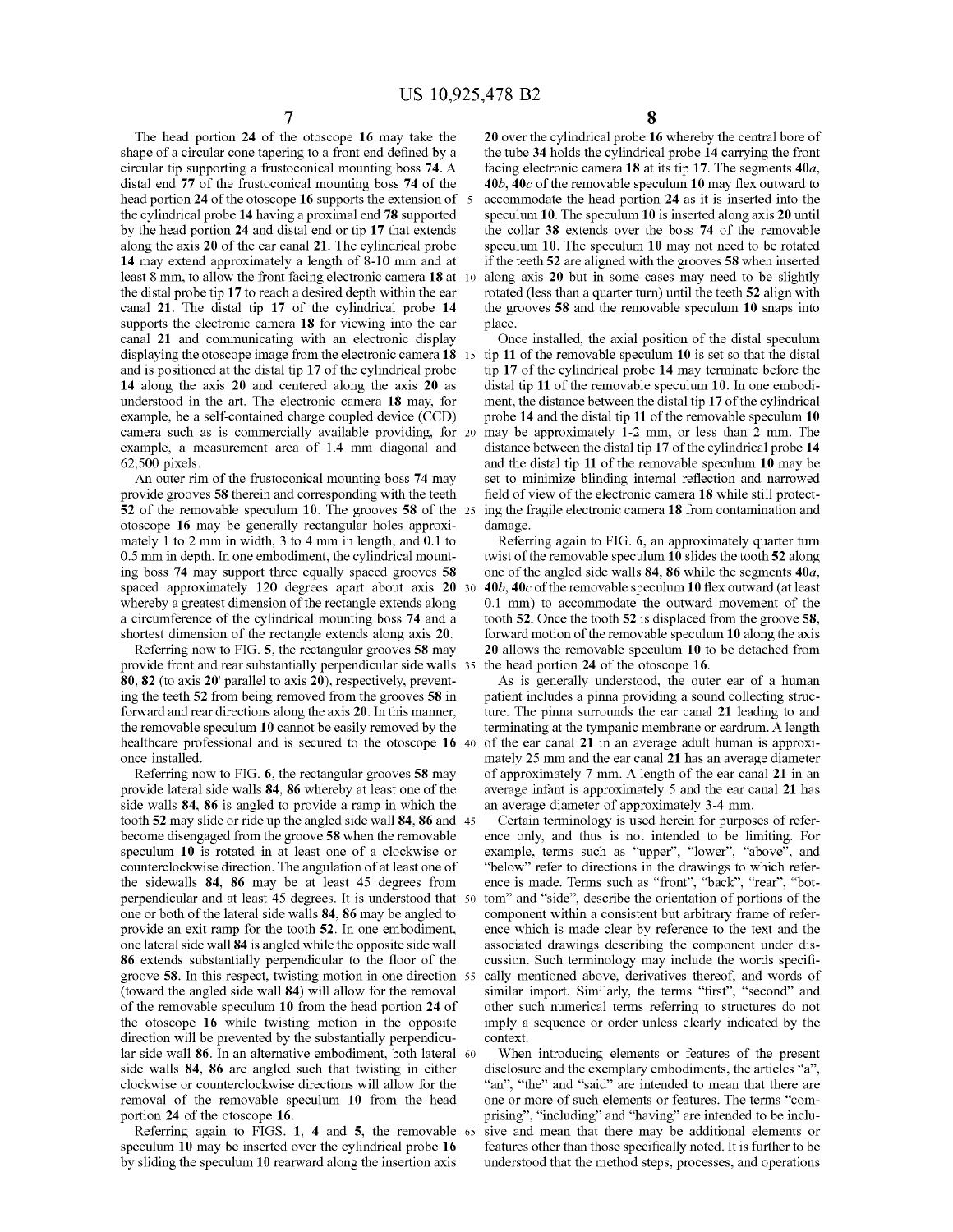The head portion **24** of the otoscope **16** may take the shape of a circular cone tapering to a front end defined by a circular tip supporting a frustoconical mounting boss **74.** A distal end **77** of the frustoconical mounting boss **74** of the head portion **24** of the otoscope **16** supports the extension of the cylindrical probe **14** having a proximal end **78** supported by the head portion **24** and distal end or tip **17** that extends along the axis **20** of the ear canal **21.** The cylindrical probe **14** may extend approximately a length of 8-10 mm and at least 8 mm, to allow the front facing electronic camera **18** at 10 the distal probe tip **17** to reach a desired depth within the ear canal **21.** The distal tip **17** of the cylindrical probe **14**  supports the electronic camera **18** for viewing into the ear canal **21** and communicating with an electronic display displaying the otoscope image from the electronic camera **18** 15 and is positioned at the distal tip **17** of the cylindrical probe **14** along the axis **20** and centered along the axis **20** as understood in the art. The electronic camera **18** may, for example, be a self-contained charge coupled device (CCD) camera such as is commercially available providing, for 20 example, a measurement area of 1.4 mm diagonal and 62,500 pixels.

An outer rim of the frustoconical mounting boss **74** may provide grooves **58** therein and corresponding with the teeth **52** of the removable speculum **10.** The grooves **58** of the 25 otoscope **16** may be generally rectangular holes approximately 1 to 2 mm in width, 3 to 4 mm in length, and 0.1 to 0.5 mm in depth. In one embodiment, the cylindrical mounting boss **74** may support three equally spaced grooves **58**  spaced approximately 120 degrees apart about axis **20** 30 whereby a greatest dimension of the rectangle extends along a circumference of the cylindrical mounting boss **74** and a shortest dimension of the rectangle extends along axis **20.** 

Referring now to FIG. **5,** the rectangular grooves **58** may provide front and rear substantially perpendicular side walls 35 **80, 82** (to axis **20'** parallel to axis **20),** respectively, preventing the teeth **52** from being removed from the grooves **58** in forward and rear directions along the axis **20.** In this manner, the removable speculum **10** cannot be easily removed by the healthcare professional and is secured to the otoscope **16** 40 once installed.

Referring now to FIG. **6,** the rectangular grooves **58** may provide lateral side walls **84, 86** whereby at least one of the side walls **84, 86** is angled to provide a ramp in which the tooth **52** may slide or ride up the angled side wall **84, 86** and 45 become disengaged from the groove **58** when the removable speculum **10** is rotated in at least one of a clockwise or counterclockwise direction. The angulation of at least one of the sidewalls **84, 86** may be at least 45 degrees from perpendicular and at least 45 degrees. It is understood that one or both of the lateral side walls **84, 86** may be angled to provide an exit ramp for the tooth **52.** In one embodiment, one lateral side wall **84** is angled while the opposite side wall **86** extends substantially perpendicular to the floor of the cussion. Such terminology may include the words specifigroove **58.** In this respect, twisting motion in one direction (toward the angled side wall **84)** will allow for the removal of the removable speculum **10** from the head portion **24** of the otoscope **16** while twisting motion in the opposite direction will be prevented by the substantially perpendicular side wall **86.** In an alternative embodiment, both lateral 60 side walls **84, 86** are angled such that twisting in either clockwise or counterclockwise directions will allow for the removal of the removable speculum **10** from the head portion **24** of the otoscope **16.** 

Referring again to FIGS. **1, 4** and **5,** the removable 65 speculum **10** may be inserted over the cylindrical probe **16**  by sliding the speculum **10** rearward along the insertion axis

7 **8** 

**20** over the cylindrical probe **16** whereby the central bore of the tube **34** holds the cylindrical probe **14** carrying the front facing electronic camera **18** at its tip **17.** The segments *40a, 40b,* **40c** of the removable speculum **10** may flex outward to 5 accommodate the head portion **24** as it is inserted into the speculum **10.** The speculum **10** is inserted along axis **20** until the collar **38** extends over the boss **74** of the removable speculum **10.** The speculum **10** may not need to be rotated if the teeth **52** are aligned with the grooves **58** when inserted along axis **20** but in some cases may need to be slightly rotated (less than a quarter turn) until the teeth **52** align with the grooves **58** and the removable speculum **10** snaps into place.

Once installed, the axial position of the distal speculum tip **11** of the removable speculum **10** is set so that the distal tip **17** of the cylindrical probe **14** may terminate before the distal tip **11** of the removable speculum **10.** In one embodiment, the distance between the distal tip **17** of the cylindrical probe **14** and the distal tip **11** of the removable speculum **10**  may be approximately 1-2 mm, or less than 2 mm. The distance between the distal tip **17** of the cylindrical probe **14**  and the distal tip **11** of the removable speculum **10** may be set to minimize blinding internal reflection and narrowed field of view of the electronic camera **18** while still protecting the fragile electronic camera **18** from contamination and damage.

Referring again to FIG. **6,** an approximately quarter turn twist of the removable speculum **10** slides the tooth **52** along one of the angled side walls **84, 86** while the segments *40a, 40b,* 40c of the removable speculum **10** flex outward ( at least 0.1 mm) to accommodate the outward movement of the tooth **52.** Once the tooth **52** is displaced from the groove **58,**  forward motion of the removable speculum **10** along the axis **20** allows the removable speculum **10** to be detached from the head portion **24** of the otoscope **16.** 

As is generally understood, the outer ear of a human patient includes a pinna providing a sound collecting structure. The pinna surrounds the ear canal **21** leading to and terminating at the tympanic membrane or eardrum. A length of the ear canal **21** in an average adult human is approximately 25 mm and the ear canal **21** has an average diameter of approximately 7 mm. A length of the ear canal **21** in an average infant is approximately 5 and the ear canal **21** has an average diameter of approximately 3-4 mm.

Certain terminology is used herein for purposes of reference only, and thus is not intended to be limiting. For example, terms such as "upper", "lower", "above", and "below" refer to directions in the drawings to which reference is made. Terms such as "front", "back", "rear", "bottom" and "side", describe the orientation of portions of the component within a consistent but arbitrary frame of reference which is made clear by reference to the text and the associated drawings describing the component under discally mentioned above, derivatives thereof, and words of similar import. Similarly, the terms "first", "second" and other such numerical terms referring to structures do not imply a sequence or order unless clearly indicated by the context.

When introducing elements or features of the present disclosure and the exemplary embodiments, the articles "a", "an", "the" and "said" are intended to mean that there are one or more of such elements or features. The terms "comprising", "including" and "having" are intended to be inclusive and mean that there may be additional elements or features other than those specifically noted. It is further to be understood that the method steps, processes, and operations